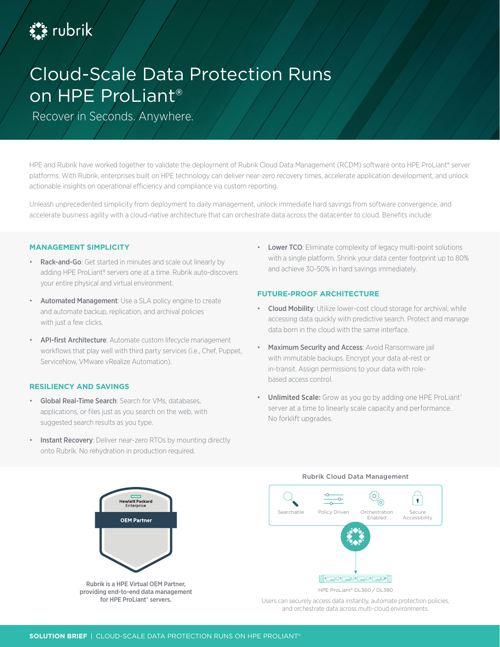

# Cloud-Scale Data Protection Runs on HPE ProLiant®

Recover in Seconds. Anywhere.

HPE and Rubrik have worked together to validate the deployment of Rubrik Cloud Data Management (RCDM) software onto HPE ProLiant® server platforms. With Rubrik, enterprises built on HPE technology can deliver near-zero recovery times, accelerate application development, and unlock actionable insights on operational efficiency and compliance via custom reporting.

Unleash unprecedented simplicity from deployment to daily management, unlock immediate hard savings from software convergence, and accelerate business agility with a cloud-native architecture that can orchestrate data across the datacenter to cloud. Benefits include:

## **MANAGEMENT SIMPLICITY**

- Rack-and-Go: Get started in minutes and scale out linearly by adding HPE ProLiant® servers one at a time. Rubrik auto-discovers your entire physical and virtual environment.
- Automated Management: Use a SLA policy engine to create and automate backup, replication, and archival policies with just a few clicks.
- API-first Architecture: Automate custom lifecycle management workflows that play well with third party services (i.e., Chef, Puppet, ServiceNow, VMware vRealize Automation).

## **RESILIENCY AND SAVINGS**

- Global Real-Time Search: Search for VMs, databases, applications, or files just as you search on the web, with suggested search results as you type.
- **Instant Recovery:** Deliver near-zero RTOs by mounting directly onto Rubrik. No rehydration in production required.

• Lower TCO: Eliminate complexity of legacy multi-point solutions with a single platform. Shrink your data center footprint up to 80% and achieve 30-50% in hard savings immediately.

## **FUTURE-PROOF ARCHITECTURE**

- Cloud Mobility: Utilize lower-cost cloud storage for archival, while accessing data quickly with predictive search. Protect and manage data born in the cloud with the same interface.
- Maximum Security and Access: Avoid Ransomware jail with immutable backups. Encrypt your data at-rest or in-transit. Assign permissions to your data with rolebased access control.
- Unlimited Scale: Grow as you go by adding one HPE ProLiant® server at a time to linearly scale capacity and performance. No forklift upgrades.



#### Rubrik Cloud Data Management